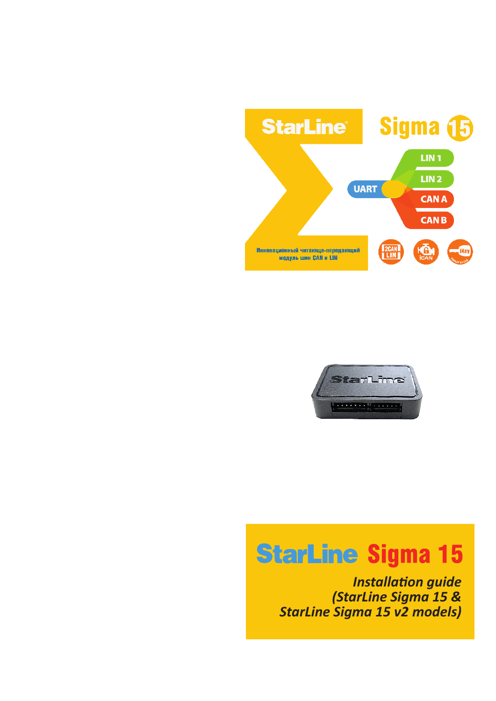



# **StarLine Sigma 15**

**Installation guide** *(StarLine Sigma 15 & StarLine Sigma 15 v2 models)*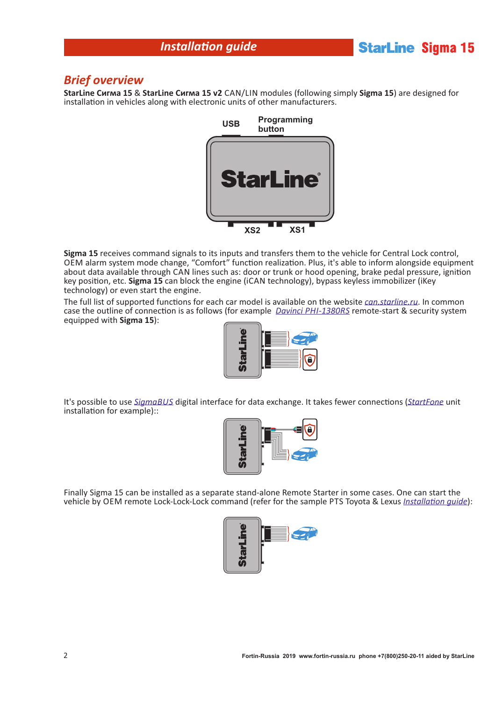# **Installation quide**

# **StarLine Sigma 15**

#### *Brief overview*

**StarLine Сигма 15** & **StarLine Сигма 15 v2** CAN/LIN modules (following simply **Sigma 15**) are designed for installation in vehicles along with electronic units of other manufacturers.



**Sigma 15** receives command signals to its inputs and transfers them to the vehicle for Central Lock control, OEM alarm system mode change, "Comfort" function realization. Plus, it's able to inform alongside equipment about data available through CAN lines such as: door or trunk or hood opening, brake pedal pressure, ignition key position, etc. Sigma 15 can block the engine (iCAN technology), bypass keyless immobilizer (iKey technology) or even start the engine.

The full list of supported functions for each car model is available on the website *[can.starline.ru](http://can.starline.ru/)*. In common case the outline of connection is as follows (for example *[Davinci PHI-1380RS](http://piti.ru/katalog/avtomobilnye-okhrannye-sistemy/sistemy-s-zapuskom-dvigatelya/avtosignalizatsiya-davinci-phi-1380rs/)* remote-start & security system equipped with **Sigma 15**):



It's possible to use *[SigmaBUS](http://help.starline.ru/sigma/modul-sigma-10/opisanie-interfejsa-sigmabus/)* digital interface for data exchange. It takes fewer connections (*[StartFone](http://www.startfone.su/index.php/manuals-startfone/startfone1-wiring)* unit installation for example)::



Finally Sigma 15 can be installed as a separate stand-alone Remote Starter in some cases. One can start the vehicle by OEM remote Lock-Lock-Lock command (refer for the sample PTS Toyota & Lexus *Installation quide*):

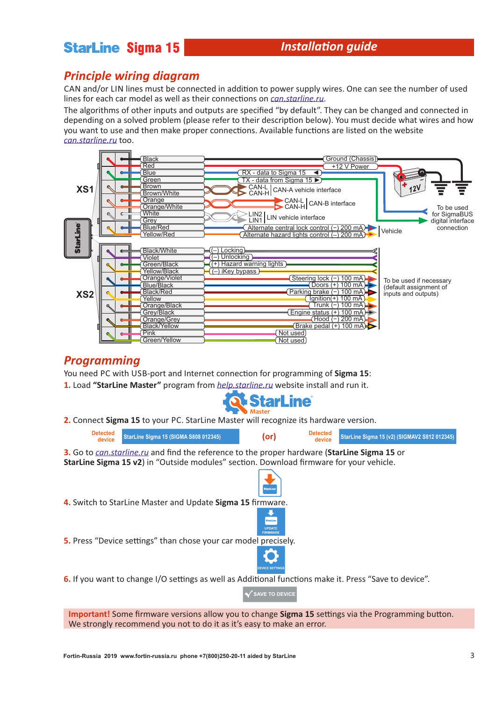# **StarLine Sigma 15**

# **Installation quide**

### *Principle wiring diagram*

CAN and/or LIN lines must be connected in addition to power supply wires. One can see the number of used lines for each car model as well as their connections on *[can.starline.ru](http://can.starline.ru/)*.

The algorithms of other inputs and outputs are specified "by default". They can be changed and connected in depending on a solved problem (please refer to their description below). You must decide what wires and how you want to use and then make proper connections. Available functions are listed on the website *[can.starline.ru](http://can.starline.ru/)* too.



#### *Programming*

You need PC with USB-port and Internet connection for programming of **Sigma 15**: **1.** Load **"StarLine Master"** program from *[help.starline.ru](http://help.starline.ru/hp/en/documentation-101057378.html)* website install and run it.



**2.** Connect **Sigma 15** to your PC. StarLine Master will recognize its hardware version.

| <b>Detected</b><br>device                                                                                                                                                                      |  | <b>StarLine Sigma 15 (SIGMA S808 012345)</b>                                                           | $($ or $)$                                   | <b>Detected</b><br>device | StarLine Sigma 15 (v2) (SIGMAV2 S812 012345) |
|------------------------------------------------------------------------------------------------------------------------------------------------------------------------------------------------|--|--------------------------------------------------------------------------------------------------------|----------------------------------------------|---------------------------|----------------------------------------------|
| 3. Go to <i>can.starline.ru</i> and find the reference to the proper hardware (StarLine Sigma 15 or<br>StarLine Sigma 15 v2) in "Outside modules" section. Download firmware for your vehicle. |  |                                                                                                        |                                              |                           |                                              |
|                                                                                                                                                                                                |  |                                                                                                        | <b>StarLine</b>                              |                           |                                              |
| 4. Switch to StarLine Master and Update Sigma 15 firmware.                                                                                                                                     |  |                                                                                                        |                                              |                           |                                              |
|                                                                                                                                                                                                |  |                                                                                                        | StarLine<br><b>UPDATE</b><br><b>FIRMWARE</b> |                           |                                              |
| 5. Press "Device settings" than chose your car model precisely.                                                                                                                                |  |                                                                                                        |                                              |                           |                                              |
|                                                                                                                                                                                                |  |                                                                                                        | <b>EVICE SETTING:</b>                        |                           |                                              |
|                                                                                                                                                                                                |  | 6. If you want to change I/O settings as well as Additional functions make it. Press "Save to device". |                                              |                           |                                              |
|                                                                                                                                                                                                |  |                                                                                                        | <b>SAVE TO DEVICE</b>                        |                           |                                              |

**Important!** Some firmware versions allow you to change **Sigma 15** settings via the Programming button. We strongly recommend you not to do it as it's easy to make an error.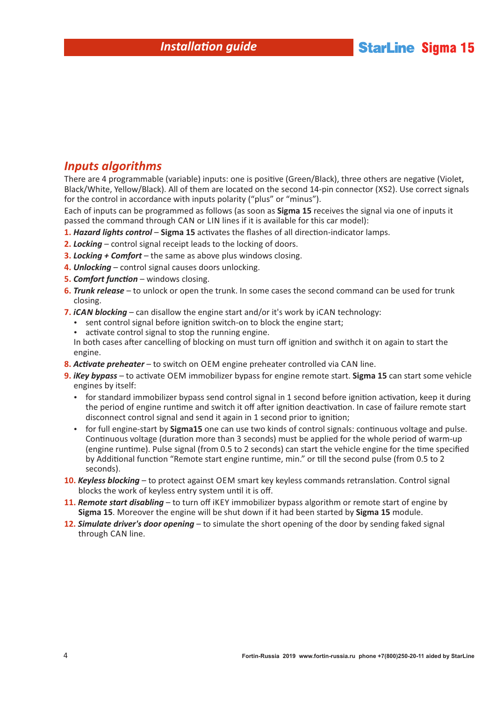# *Inputs algorithms*

There are 4 programmable (variable) inputs: one is positive (Green/Black), three others are negative (Violet, Black/White, Yellow/Black). All of them are located on the second 14-pin connector (XS2). Use correct signals for the control in accordance with inputs polarity ("plus" or "minus").

Each of inputs can be programmed as follows (as soon as **Sigma 15** receives the signal via one of inputs it passed the command through CAN or LIN lines if it is available for this car model):

- 1. Hazard lights control Sigma 15 activates the flashes of all direction-indicator lamps.
- **2.** *Locking* control signal receipt leads to the locking of doors.
- **3.** *Locking + Comfort* the same as above plus windows closing.
- **4.** *Unlocking* control signal causes doors unlocking.
- **5. Comfort function** windows closing.
- **6.** *Trunk release* to unlock or open the trunk. In some cases the second command can be used for trunk closing.
- **7.** *iCAN blocking* can disallow the engine start and/or it's work by iCAN technology:
	- sent control signal before ignition switch-on to block the engine start;
	- activate control signal to stop the running engine.

In both cases after cancelling of blocking on must turn off ignition and swithch it on again to start the engine.

- **8. Activate preheater** to switch on OEM engine preheater controlled via CAN line.
- **9.** *iKey bypass* to activate OEM immobilizer bypass for engine remote start. **Sigma 15** can start some vehicle engines by itself:
	- $\bullet$  for standard immobilizer bypass send control signal in 1 second before ignition activation, keep it during the period of engine runtime and switch it off after ignition deactivation. In case of failure remote start disconnect control signal and send it again in 1 second prior to ignition;
	- for full engine-start by **Sigma15** one can use two kinds of control signals: continuous voltage and pulse. Continuous voltage (duration more than 3 seconds) must be applied for the whole period of warm-up (engine runtime). Pulse signal (from 0.5 to 2 seconds) can start the vehicle engine for the time specified by Additional function "Remote start engine runtime, min." or till the second pulse (from 0.5 to 2 seconds).
- **10. Keyless blocking** to protect against OEM smart key keyless commands retranslation. Control signal blocks the work of keyless entry system until it is off.
- **11.** *Remote start disabling*  to turn off iKEY immobilizer bypass algorithm or remote start of engine by **Sigma 15**. Moreover the engine will be shut down if it had been started by **Sigma 15** module.
- **12.** *Simulate driver's door opening* to simulate the short opening of the door by sending faked signal through CAN line.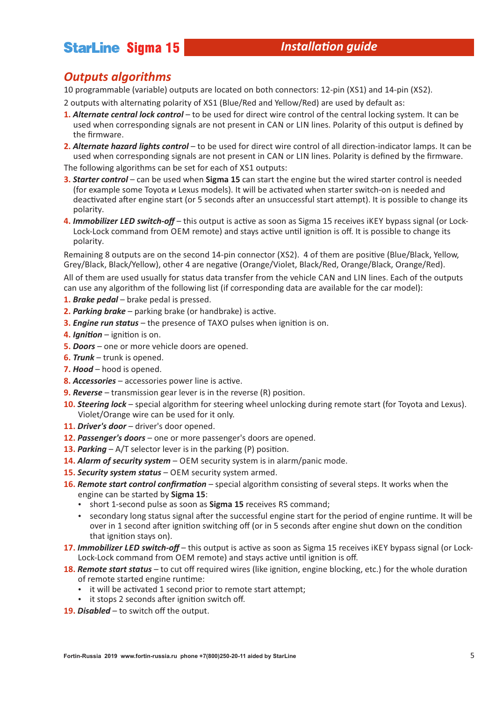# **StarLine Sigma 15**

## *Outputs algorithms*

10 programmable (variable) outputs are located on both connectors: 12-pin (XS1) and 14-pin (XS2).

- 2 outputs with alternating polarity of XS1 (Blue/Red and Yellow/Red) are used by default as:
- **1.** *Alternate central lock control* to be used for direct wire control of the central locking system. It can be used when corresponding signals are not present in CAN or LIN lines. Polarity of this output is defined by the firmware.
- 2. Alternate hazard lights control to be used for direct wire control of all direction-indicator lamps. It can be used when corresponding signals are not present in CAN or LIN lines. Polarity is defined by the firmware.

The following algorithms can be set for each of XS1 outputs:

- **3.** *Starter control* can be used when **Sigma 15** can start the engine but the wired starter control is needed (for example some Toyota и Lexus models). It will be activated when starter switch-on is needed and deactivated after engine start (or 5 seconds after an unsuccessful start attempt). It is possible to change its polarity.
- **4. Immobilizer LED switch-off** this output is active as soon as Sigma 15 receives iKEY bypass signal (or Lock-Lock-Lock command from OEM remote) and stays active until ignition is off. It is possible to change its polarity.

Remaining 8 outputs are on the second 14-pin connector (XS2). 4 of them are positive (Blue/Black, Yellow, Grey/Black, Black/Yellow), other 4 are negative (Orange/Violet, Black/Red, Orange/Black, Orange/Red).

All of them are used usually for status data transfer from the vehicle CAN and LIN lines. Each of the outputs can use any algorithm of the following list (if corresponding data are available for the car model):

- **1.** *Brake pedal* brake pedal is pressed.
- **2. Parking brake** parking brake (or handbrake) is active.
- **3. Engine run status** the presence of TAXO pulses when ignition is on.
- **4. Ignition** ignition is on.
- **5.** *Doors* one or more vehicle doors are opened.
- **6.** *Trunk* trunk is opened.
- **7.** *Hood* hood is opened.
- **8. Accessories** accessories power line is active.
- **9. Reverse** transmission gear lever is in the reverse (R) position.
- **10.** *Steering lock* special algorithm for steering wheel unlocking during remote start (for Toyota and Lexus). Violet/Orange wire can be used for it only.
- **11.** *Driver's door* driver's door opened.
- **12.** *Passenger's doors* one or more passenger's doors are opened.
- **13. Parking**  $A/T$  selector lever is in the parking (P) position.
- **14.** *Alarm of security system* OEM security system is in alarm/panic mode.
- **15.** *Security system status* OEM security system armed.
- 16. Remote start control confirmation special algorithm consisting of several steps. It works when the engine can be started by **Sigma 15**:
	- short 1-second pulse as soon as **Sigma 15** receives RS command;
	- secondary long status signal after the successful engine start for the period of engine runtime. It will be over in 1 second after ignition switching off (or in 5 seconds after engine shut down on the condition that ignition stays on).
- 17. Immobilizer LED switch-off this output is active as soon as Sigma 15 receives iKEY bypass signal (or Lock-Lock-Lock command from OEM remote) and stays active until ignition is off.
- **18. Remote start status** to cut off required wires (like ignition, engine blocking, etc.) for the whole duration of remote started engine runtime:
	- it will be activated 1 second prior to remote start attempt;
	- it stops 2 seconds after ignition switch off.
- **19.** *Disabled* to switch off the output.